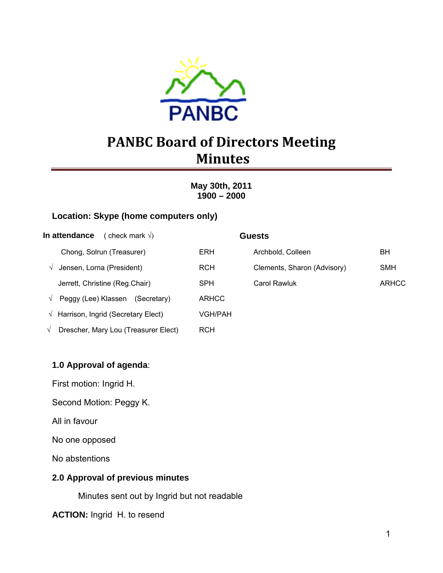

# **PANBC Board of Directors Meeting Minutes**

**May 30th, 2011 1900 – 2000** 

#### **Location: Skype (home computers only)**

| In attendance<br>(check mark $\sqrt{ }$ )          |              | <b>Guests</b>               |              |
|----------------------------------------------------|--------------|-----------------------------|--------------|
| Chong, Solrun (Treasurer)                          | <b>ERH</b>   | Archbold, Colleen           | BН           |
| Jensen, Lorna (President)<br>V                     | <b>RCH</b>   | Clements, Sharon (Advisory) | <b>SMH</b>   |
| Jerrett, Christine (Reg.Chair)                     | <b>SPH</b>   | Carol Rawluk                | <b>ARHCC</b> |
| Peggy (Lee) Klassen<br>(Secretary)<br>$\sqrt{ }$   | <b>ARHCC</b> |                             |              |
| $\sqrt{ }$ Harrison, Ingrid (Secretary Elect)      | VGH/PAH      |                             |              |
| Drescher, Mary Lou (Treasurer Elect)<br>$\sqrt{ }$ | RCH          |                             |              |

#### **1.0 Approval of agenda**:

First motion: Ingrid H.

Second Motion: Peggy K.

All in favour

No one opposed

No abstentions

#### **2.0 Approval of previous minutes**

Minutes sent out by Ingrid but not readable

**ACTION:** Ingrid H. to resend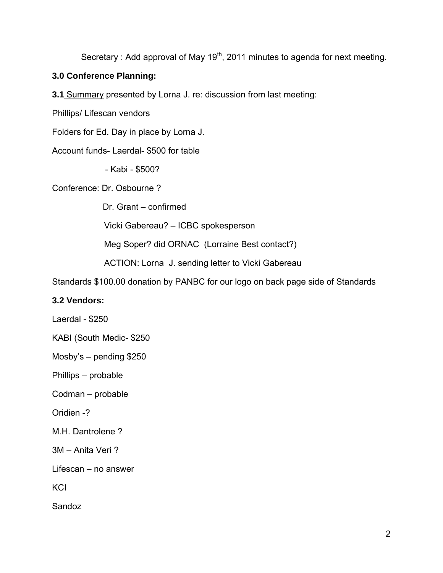Secretary : Add approval of May  $19<sup>th</sup>$ , 2011 minutes to agenda for next meeting.

### **3.0 Conference Planning:**

**3.1** Summary presented by Lorna J. re: discussion from last meeting:

Phillips/ Lifescan vendors

Folders for Ed. Day in place by Lorna J.

Account funds- Laerdal- \$500 for table

- Kabi - \$500?

Conference: Dr. Osbourne ?

Dr. Grant – confirmed

Vicki Gabereau? – ICBC spokesperson

Meg Soper? did ORNAC (Lorraine Best contact?)

ACTION: Lorna J. sending letter to Vicki Gabereau

Standards \$100.00 donation by PANBC for our logo on back page side of Standards

#### **3.2 Vendors:**

Laerdal - \$250

KABI (South Medic- \$250

Mosby's – pending \$250

Phillips – probable

Codman – probable

Oridien -?

M.H. Dantrolene ?

3M – Anita Veri ?

Lifescan – no answer

KCI

Sandoz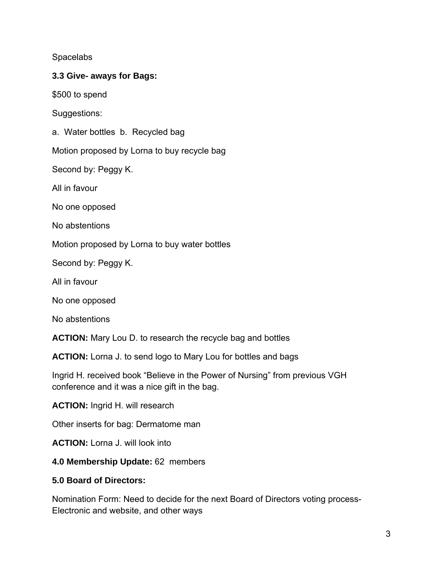**Spacelabs** 

#### **3.3 Give- aways for Bags:**

\$500 to spend

Suggestions:

a. Water bottles b. Recycled bag

Motion proposed by Lorna to buy recycle bag

Second by: Peggy K.

All in favour

No one opposed

No abstentions

Motion proposed by Lorna to buy water bottles

Second by: Peggy K.

All in favour

No one opposed

No abstentions

**ACTION:** Mary Lou D. to research the recycle bag and bottles

**ACTION:** Lorna J. to send logo to Mary Lou for bottles and bags

Ingrid H. received book "Believe in the Power of Nursing" from previous VGH conference and it was a nice gift in the bag.

**ACTION:** Ingrid H. will research

Other inserts for bag: Dermatome man

**ACTION:** Lorna J. will look into

**4.0 Membership Update:** 62 members

#### **5.0 Board of Directors:**

Nomination Form: Need to decide for the next Board of Directors voting process-Electronic and website, and other ways